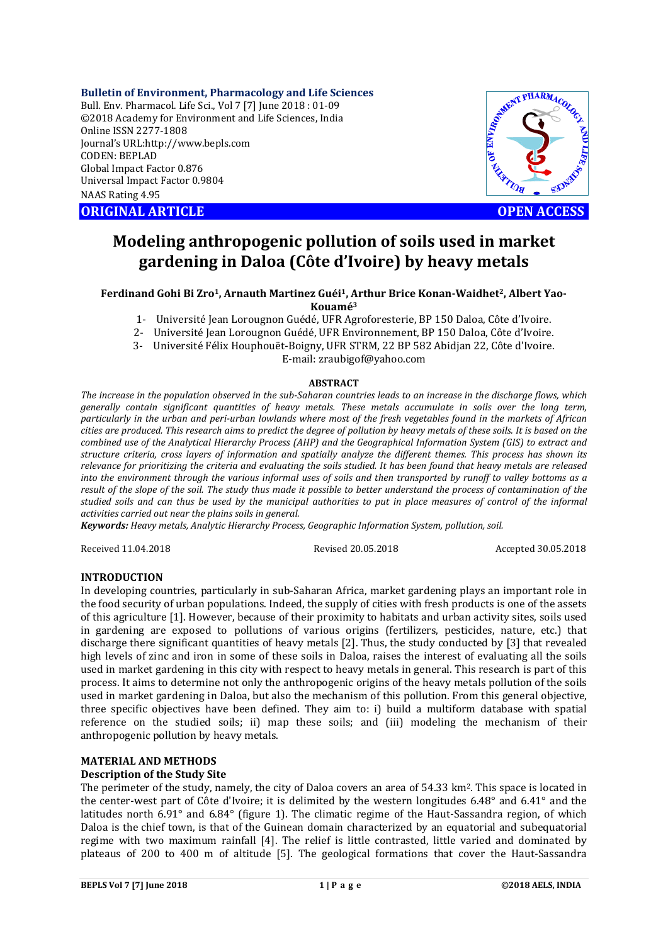#### **Bulletin of Environment, Pharmacology and Life Sciences**

Bull. Env. Pharmacol. Life Sci., Vol 7 [7] June 2018 : 01-09 ©2018 Academy for Environment and Life Sciences, India Online ISSN 2277-1808 Journal's URL:http://www.bepls.com CODEN: BEPLAD Global Impact Factor 0.876 Universal Impact Factor 0.9804 NAAS Rating 4.95 CONSIDERED CONGINAL ARTICLE<br>
ORIGINAL ARTICLE<br>
ORIGINAL ARTICLE<br>
ORIGINAL ARTICLE<br>
ORIGINAL ARTICLE<br>
ORIGINAL ARTICLE<br>
OPEN ACCESS



# **Modeling anthropogenic pollution of soils used in market gardening in Daloa (Côte d'Ivoire) by heavy metals**

#### **Ferdinand Gohi Bi Zro1, Arnauth Martinez Guéi1, Arthur Brice Konan-Waidhet2, Albert Yao-Kouamé3**

- 1- Université Jean Lorougnon Guédé, UFR Agroforesterie, BP 150 Daloa, Côte d'Ivoire.
- 2- Université Jean Lorougnon Guédé, UFR Environnement, BP 150 Daloa, Côte d'Ivoire.
- 3- Université Félix Houphouët-Boigny, UFR STRM, 22 BP 582 Abidjan 22, Côte d'Ivoire. E-mail: zraubigof@yahoo.com

# **ABSTRACT**

*The increase in the population observed in the sub-Saharan countries leads to an increase in the discharge flows, which generally contain significant quantities of heavy metals. These metals accumulate in soils over the long term, particularly in the urban and peri-urban lowlands where most of the fresh vegetables found in the markets of African cities are produced. This research aims to predict the degree of pollution by heavy metals of these soils. It is based on the combined use of the Analytical Hierarchy Process (AHP) and the Geographical Information System (GIS) to extract and structure criteria, cross layers of information and spatially analyze the different themes. This process has shown its relevance for prioritizing the criteria and evaluating the soils studied. It has been found that heavy metals are released into the environment through the various informal uses of soils and then transported by runoff to valley bottoms as a result of the slope of the soil. The study thus made it possible to better understand the process of contamination of the studied soils and can thus be used by the municipal authorities to put in place measures of control of the informal activities carried out near the plains soils in general.*

*Keywords: Heavy metals, Analytic Hierarchy Process, Geographic Information System, pollution, soil.*

Received 11.04.2018 Revised 20.05.2018 Accepted 30.05.2018

# **INTRODUCTION**

In developing countries, particularly in sub-Saharan Africa, market gardening plays an important role in the food security of urban populations. Indeed, the supply of cities with fresh products is one of the assets of this agriculture [1]. However, because of their proximity to habitats and urban activity sites, soils used in gardening are exposed to pollutions of various origins (fertilizers, pesticides, nature, etc.) that discharge there significant quantities of heavy metals [2]. Thus, the study conducted by [3] that revealed high levels of zinc and iron in some of these soils in Daloa, raises the interest of evaluating all the soils used in market gardening in this city with respect to heavy metals in general. This research is part of this process. It aims to determine not only the anthropogenic origins of the heavy metals pollution of the soils used in market gardening in Daloa, but also the mechanism of this pollution. From this general objective, three specific objectives have been defined. They aim to: i) build a multiform database with spatial reference on the studied soils; ii) map these soils; and (iii) modeling the mechanism of their anthropogenic pollution by heavy metals.

#### **MATERIAL AND METHODS**

#### **Description of the Study Site**

The perimeter of the study, namely, the city of Daloa covers an area of 54.33 km<sup>2</sup>. This space is located in the center-west part of Côte d'Ivoire; it is delimited by the western longitudes 6.48° and 6.41° and the latitudes north 6.91° and 6.84° (figure 1). The climatic regime of the Haut-Sassandra region, of which Daloa is the chief town, is that of the Guinean domain characterized by an equatorial and subequatorial regime with two maximum rainfall [4]. The relief is little contrasted, little varied and dominated by plateaus of 200 to 400 m of altitude [5]. The geological formations that cover the Haut-Sassandra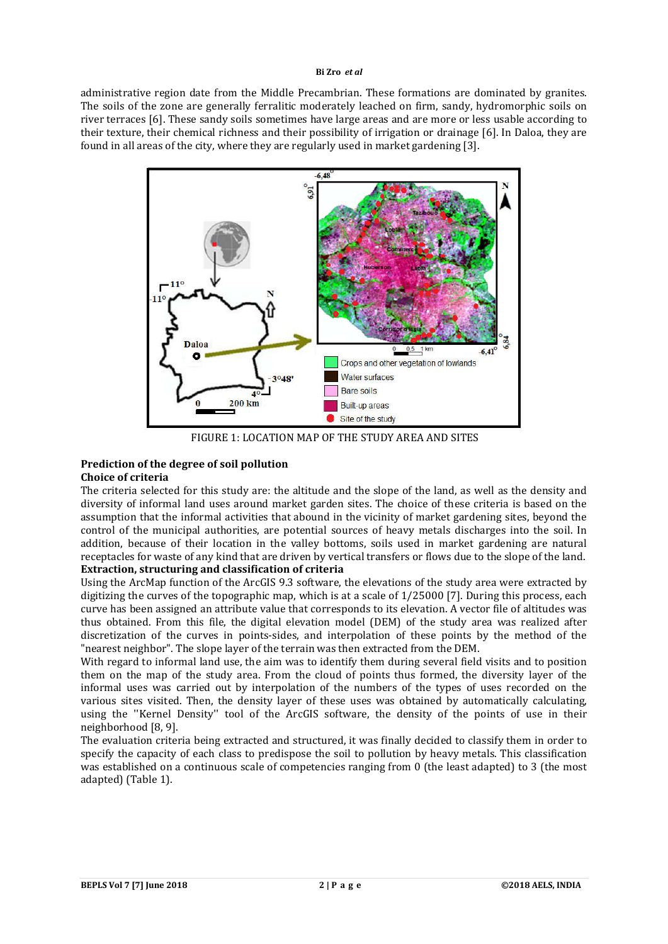administrative region date from the Middle Precambrian. These formations are dominated by granites. The soils of the zone are generally ferralitic moderately leached on firm, sandy, hydromorphic soils on river terraces [6]. These sandy soils sometimes have large areas and are more or less usable according to their texture, their chemical richness and their possibility of irrigation or drainage [6]. In Daloa, they are found in all areas of the city, where they are regularly used in market gardening [3].



FIGURE 1: LOCATION MAP OF THE STUDY AREA AND SITES

#### **Prediction of the degree of soil pollution Choice of criteria**

The criteria selected for this study are: the altitude and the slope of the land, as well as the density and diversity of informal land uses around market garden sites. The choice of these criteria is based on the assumption that the informal activities that abound in the vicinity of market gardening sites, beyond the control of the municipal authorities, are potential sources of heavy metals discharges into the soil. In addition, because of their location in the valley bottoms, soils used in market gardening are natural receptacles for waste of any kind that are driven by vertical transfers or flows due to the slope of the land. **Extraction, structuring and classification of criteria**

Using the ArcMap function of the ArcGIS 9.3 software, the elevations of the study area were extracted by digitizing the curves of the topographic map, which is at a scale of 1/25000 [7]. During this process, each curve has been assigned an attribute value that corresponds to its elevation. A vector file of altitudes was thus obtained. From this file, the digital elevation model (DEM) of the study area was realized after discretization of the curves in points-sides, and interpolation of these points by the method of the "nearest neighbor". The slope layer of the terrain was then extracted from the DEM.

With regard to informal land use, the aim was to identify them during several field visits and to position them on the map of the study area. From the cloud of points thus formed, the diversity layer of the informal uses was carried out by interpolation of the numbers of the types of uses recorded on the various sites visited. Then, the density layer of these uses was obtained by automatically calculating, using the ''Kernel Density'' tool of the ArcGIS software, the density of the points of use in their neighborhood [8, 9].

The evaluation criteria being extracted and structured, it was finally decided to classify them in order to specify the capacity of each class to predispose the soil to pollution by heavy metals. This classification was established on a continuous scale of competencies ranging from 0 (the least adapted) to 3 (the most adapted) (Table 1).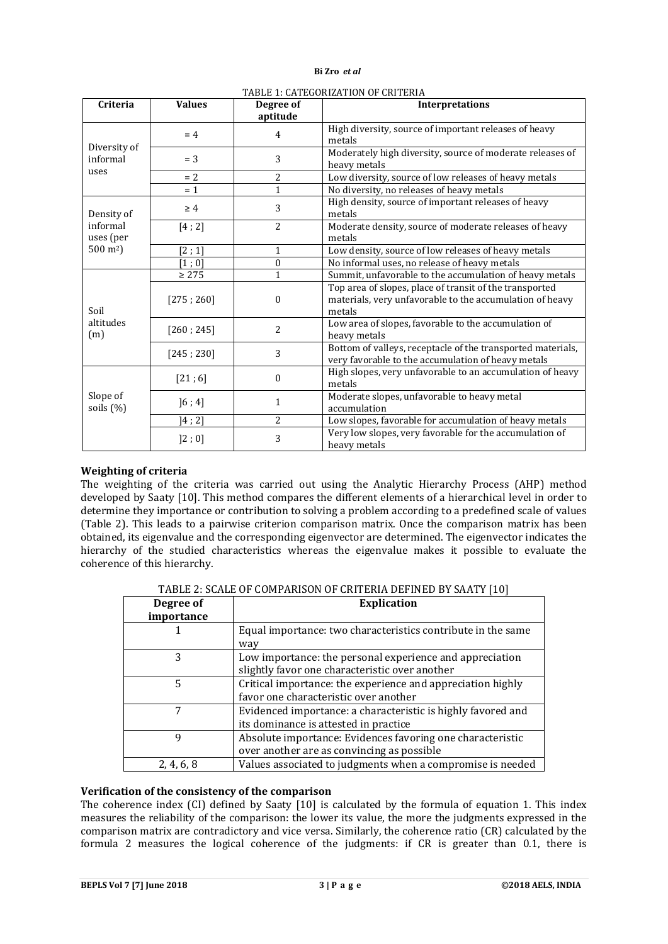| Criteria                 | <b>Values</b> | Degree of<br>aptitude | <b>Interpretations</b>                                                                                                        |  |  |  |  |
|--------------------------|---------------|-----------------------|-------------------------------------------------------------------------------------------------------------------------------|--|--|--|--|
| Diversity of<br>informal | $= 4$         | 4                     | High diversity, source of important releases of heavy<br>metals                                                               |  |  |  |  |
|                          | $=$ 3         | 3                     | Moderately high diversity, source of moderate releases of<br>heavy metals                                                     |  |  |  |  |
| uses                     | $= 2$         | 2                     | Low diversity, source of low releases of heavy metals                                                                         |  |  |  |  |
|                          | $= 1$         | 1                     | No diversity, no releases of heavy metals                                                                                     |  |  |  |  |
| Density of               | $\geq 4$      | 3                     | High density, source of important releases of heavy<br>metals                                                                 |  |  |  |  |
| informal<br>uses (per    | [4; 2]        | 2                     | Moderate density, source of moderate releases of heavy<br>metals                                                              |  |  |  |  |
| $500 \,\mathrm{m}^2$ )   | [2:1]         | 1                     | Low density, source of low releases of heavy metals                                                                           |  |  |  |  |
|                          | [1;0]         | 0                     | No informal uses, no release of heavy metals                                                                                  |  |  |  |  |
| Soil                     | $\geq 275$    | 1                     | Summit, unfavorable to the accumulation of heavy metals                                                                       |  |  |  |  |
|                          | [275; 260]    | $\theta$              | Top area of slopes, place of transit of the transported<br>materials, very unfavorable to the accumulation of heavy<br>metals |  |  |  |  |
| altitudes<br>(m)         | [260; 245]    | $\overline{c}$        | Low area of slopes, favorable to the accumulation of<br>heavy metals                                                          |  |  |  |  |
|                          | [245; 230]    | 3                     | Bottom of valleys, receptacle of the transported materials,<br>very favorable to the accumulation of heavy metals             |  |  |  |  |
| Slope of<br>soils (%)    | [21;6]        | 0                     | High slopes, very unfavorable to an accumulation of heavy<br>metals                                                           |  |  |  |  |
|                          | ]6;4]         | 1                     | Moderate slopes, unfavorable to heavy metal<br>accumulation                                                                   |  |  |  |  |
|                          | 14 ; 21       | 2                     | Low slopes, favorable for accumulation of heavy metals                                                                        |  |  |  |  |
|                          | ]2;0]         | 3                     | Very low slopes, very favorable for the accumulation of<br>heavy metals                                                       |  |  |  |  |

#### TABLE 1: CATEGORIZATION OF CRITERIA

## **Weighting of criteria**

The weighting of the criteria was carried out using the Analytic Hierarchy Process (AHP) method developed by Saaty [10]. This method compares the different elements of a hierarchical level in order to determine they importance or contribution to solving a problem according to a predefined scale of values (Table 2). This leads to a pairwise criterion comparison matrix. Once the comparison matrix has been obtained, its eigenvalue and the corresponding eigenvector are determined. The eigenvector indicates the hierarchy of the studied characteristics whereas the eigenvalue makes it possible to evaluate the coherence of this hierarchy.

| Degree of  | <b>Explication</b>                                           |  |  |  |  |
|------------|--------------------------------------------------------------|--|--|--|--|
| importance |                                                              |  |  |  |  |
|            | Equal importance: two characteristics contribute in the same |  |  |  |  |
|            | way                                                          |  |  |  |  |
| 3          | Low importance: the personal experience and appreciation     |  |  |  |  |
|            | slightly favor one characteristic over another               |  |  |  |  |
| 5          | Critical importance: the experience and appreciation highly  |  |  |  |  |
|            | favor one characteristic over another                        |  |  |  |  |
|            | Evidenced importance: a characteristic is highly favored and |  |  |  |  |
|            | its dominance is attested in practice                        |  |  |  |  |
| 9          | Absolute importance: Evidences favoring one characteristic   |  |  |  |  |
|            | over another are as convincing as possible                   |  |  |  |  |
| 2, 4, 6, 8 | Values associated to judgments when a compromise is needed   |  |  |  |  |

TARLE 2: SCALE OF COMPARISON OF CRITERIA DEFINED BY SAATY [10]

## **Verification of the consistency of the comparison**

The coherence index (CI) defined by Saaty [10] is calculated by the formula of equation 1. This index measures the reliability of the comparison: the lower its value, the more the judgments expressed in the comparison matrix are contradictory and vice versa. Similarly, the coherence ratio (CR) calculated by the formula 2 measures the logical coherence of the judgments: if CR is greater than 0.1, there is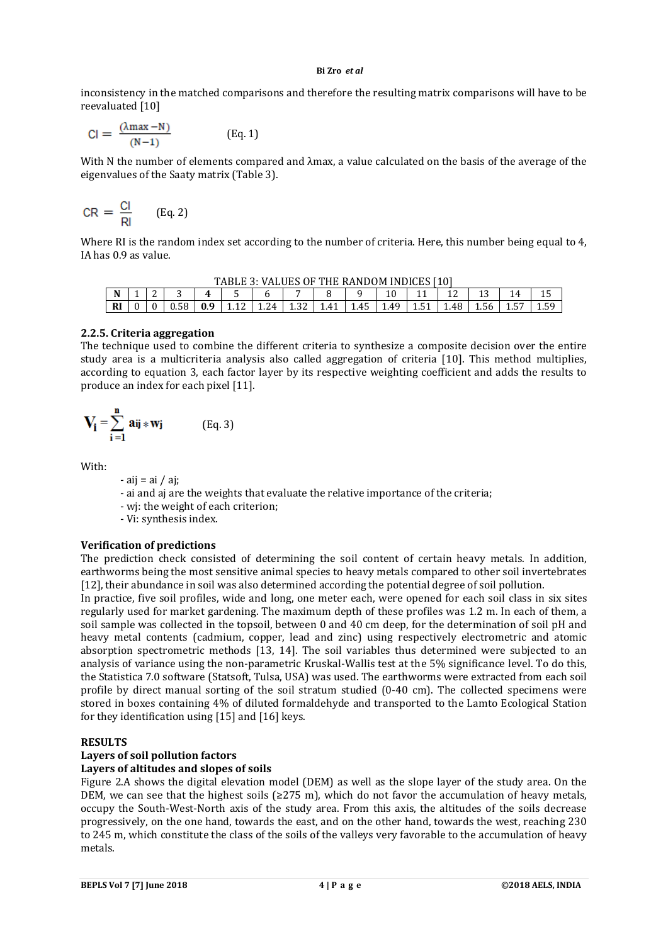inconsistency in the matched comparisons and therefore the resulting matrix comparisons will have to be reevaluated [10]

$$
Cl = \frac{(\lambda \max - N)}{(N-1)}
$$
 (Eq. 1)

With N the number of elements compared and λmax, a value calculated on the basis of the average of the eigenvalues of the Saaty matrix (Table 3).

$$
CR = \frac{Cl}{Rl} \qquad (Eq. 2)
$$

Where RI is the random index set according to the number of criteria. Here, this number being equal to 4, IA has 0.9 as value.

| TABLE 3: VALUES OF THE RANDOM INDICES [10]    |  |  |  |  |  |      |      |                |      |      |       |      |      |    |            |
|-----------------------------------------------|--|--|--|--|--|------|------|----------------|------|------|-------|------|------|----|------------|
| $\overline{\phantom{a}}$<br>N<br>$\sim$<br>Д. |  |  |  |  |  |      |      |                |      |      |       |      |      |    |            |
| <b>RI</b>                                     |  |  |  |  |  | 1.24 | 1.JZ | 4 <sup>1</sup> | . 45 | 1.49 | ⊥.∪ ⊥ | 1.48 | 1.56 | ⊥⊷ | ςq<br>1.J. |

#### **2.2.5. Criteria aggregation**

The technique used to combine the different criteria to synthesize a composite decision over the entire study area is a multicriteria analysis also called aggregation of criteria [10]. This method multiplies, according to equation 3, each factor layer by its respective weighting coefficient and adds the results to produce an index for each pixel [11].

$$
V_i = \sum_{i=1}^{n} a_{ij} * w_j
$$
 (Eq. 3)

With:

- aij = ai / aj;

- ai and aj are the weights that evaluate the relative importance of the criteria;
- wj: the weight of each criterion;
- Vi: synthesis index.

# **Verification of predictions**

The prediction check consisted of determining the soil content of certain heavy metals. In addition, earthworms being the most sensitive animal species to heavy metals compared to other soil invertebrates [12], their abundance in soil was also determined according the potential degree of soil pollution.

In practice, five soil profiles, wide and long, one meter each, were opened for each soil class in six sites regularly used for market gardening. The maximum depth of these profiles was 1.2 m. In each of them, a soil sample was collected in the topsoil, between 0 and 40 cm deep, for the determination of soil pH and heavy metal contents (cadmium, copper, lead and zinc) using respectively electrometric and atomic absorption spectrometric methods [13, 14]. The soil variables thus determined were subjected to an analysis of variance using the non-parametric Kruskal-Wallis test at the 5% significance level. To do this, the Statistica 7.0 software (Statsoft, Tulsa, USA) was used. The earthworms were extracted from each soil profile by direct manual sorting of the soil stratum studied (0-40 cm). The collected specimens were stored in boxes containing 4% of diluted formaldehyde and transported to the Lamto Ecological Station for they identification using [15] and [16] keys.

#### **RESULTS**

# **Layers of soil pollution factors**

# **Layers of altitudes and slopes of soils**

Figure 2.A shows the digital elevation model (DEM) as well as the slope layer of the study area. On the DEM, we can see that the highest soils ( $\geq$ 275 m), which do not favor the accumulation of heavy metals, occupy the South-West-North axis of the study area. From this axis, the altitudes of the soils decrease progressively, on the one hand, towards the east, and on the other hand, towards the west, reaching 230 to 245 m, which constitute the class of the soils of the valleys very favorable to the accumulation of heavy metals.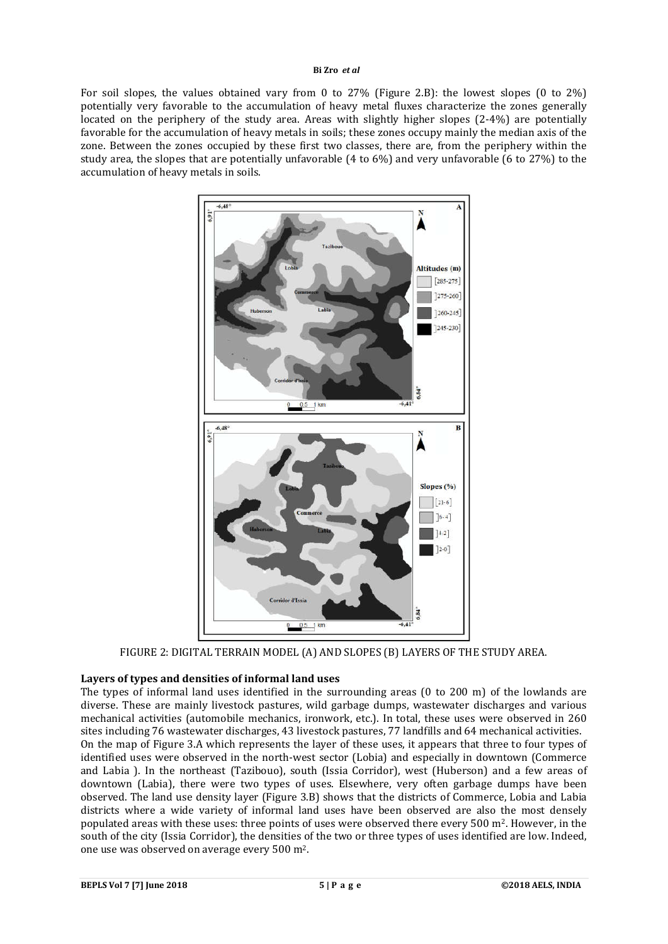For soil slopes, the values obtained vary from 0 to 27% (Figure 2.B): the lowest slopes (0 to 2%) potentially very favorable to the accumulation of heavy metal fluxes characterize the zones generally located on the periphery of the study area. Areas with slightly higher slopes (2-4%) are potentially favorable for the accumulation of heavy metals in soils; these zones occupy mainly the median axis of the zone. Between the zones occupied by these first two classes, there are, from the periphery within the study area, the slopes that are potentially unfavorable (4 to 6%) and very unfavorable (6 to 27%) to the accumulation of heavy metals in soils.



FIGURE 2: DIGITAL TERRAIN MODEL (A) AND SLOPES (B) LAYERS OF THE STUDY AREA.

# **Layers of types and densities of informal land uses**

The types of informal land uses identified in the surrounding areas (0 to 200 m) of the lowlands are diverse. These are mainly livestock pastures, wild garbage dumps, wastewater discharges and various mechanical activities (automobile mechanics, ironwork, etc.). In total, these uses were observed in 260 sites including 76 wastewater discharges, 43 livestock pastures, 77 landfills and 64 mechanical activities. On the map of Figure 3.A which represents the layer of these uses, it appears that three to four types of identified uses were observed in the north-west sector (Lobia) and especially in downtown (Commerce and Labia ). In the northeast (Tazibouo), south (Issia Corridor), west (Huberson) and a few areas of downtown (Labia), there were two types of uses. Elsewhere, very often garbage dumps have been observed. The land use density layer (Figure 3.B) shows that the districts of Commerce, Lobia and Labia districts where a wide variety of informal land uses have been observed are also the most densely populated areas with these uses: three points of uses were observed there every 500 m2. However, in the south of the city (Issia Corridor), the densities of the two or three types of uses identified are low. Indeed, one use was observed on average every 500 m2.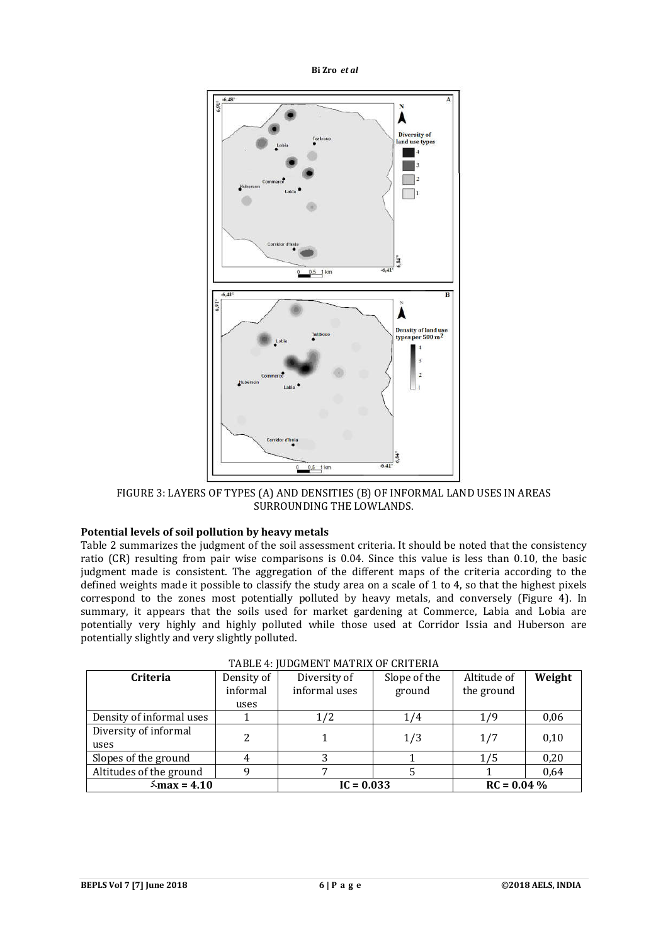

FIGURE 3: LAYERS OF TYPES (A) AND DENSITIES (B) OF INFORMAL LAND USES IN AREAS SURROUNDING THE LOWLANDS.

# **Potential levels of soil pollution by heavy metals**

Table 2 summarizes the judgment of the soil assessment criteria. It should be noted that the consistency ratio (CR) resulting from pair wise comparisons is 0.04. Since this value is less than 0.10, the basic judgment made is consistent. The aggregation of the different maps of the criteria according to the defined weights made it possible to classify the study area on a scale of 1 to 4, so that the highest pixels correspond to the zones most potentially polluted by heavy metals, and conversely (Figure 4). In summary, it appears that the soils used for market gardening at Commerce, Labia and Lobia are potentially very highly and highly polluted while those used at Corridor Issia and Huberson are potentially slightly and very slightly polluted.

| <b>Criteria</b>          | Density of | Diversity of  | Slope of the | Altitude of   | Weight |  |
|--------------------------|------------|---------------|--------------|---------------|--------|--|
|                          | informal   | informal uses | ground       | the ground    |        |  |
|                          | uses       |               |              |               |        |  |
| Density of informal uses |            | 1/2           | 1/4          | 1/9           | 0,06   |  |
| Diversity of informal    | 2          |               | 1/3          | 1/7           | 0,10   |  |
| uses                     |            |               |              |               |        |  |
| Slopes of the ground     | 4          |               |              | 175           | 0,20   |  |
| Altitudes of the ground  |            |               |              |               | 0,64   |  |
| $\frac{5}{2}$ max = 4.10 |            | $IC = 0.033$  |              | $RC = 0.04\%$ |        |  |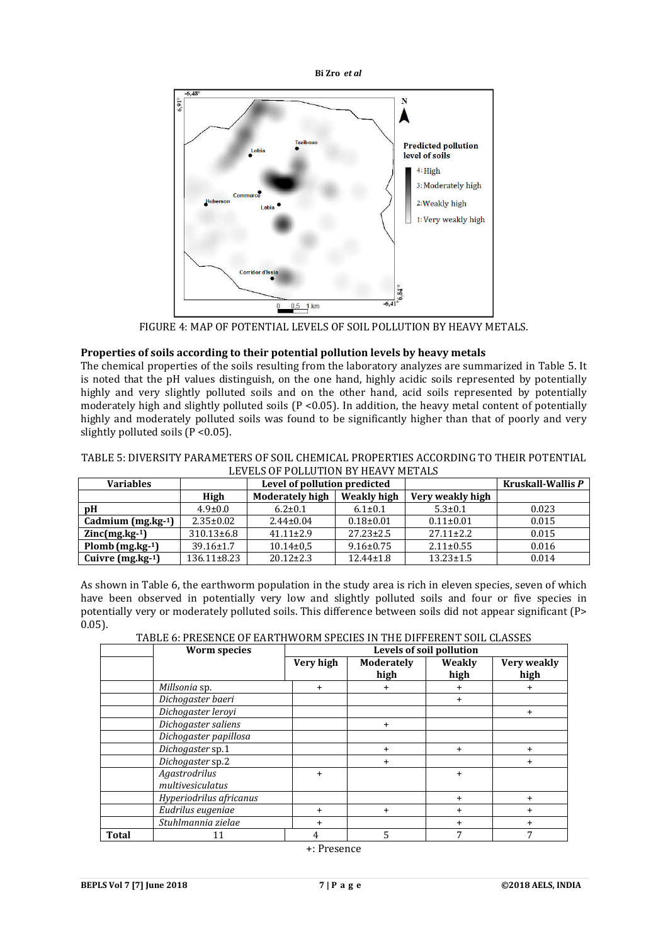

FIGURE 4: MAP OF POTENTIAL LEVELS OF SOIL POLLUTION BY HEAVY METALS.

# **Properties of soils according to their potential pollution levels by heavy metals**

The chemical properties of the soils resulting from the laboratory analyzes are summarized in Table 5. It is noted that the pH values distinguish, on the one hand, highly acidic soils represented by potentially highly and very slightly polluted soils and on the other hand, acid soils represented by potentially moderately high and slightly polluted soils  $(P < 0.05)$ . In addition, the heavy metal content of potentially highly and moderately polluted soils was found to be significantly higher than that of poorly and very slightly polluted soils (P < 0.05).

#### TABLE 5: DIVERSITY PARAMETERS OF SOIL CHEMICAL PROPERTIES ACCORDING TO THEIR POTENTIAL LEVELS OF POLLUTION BY HEAVY METALS

| <b>Variables</b>    |                   | Level of pollution predicted          |                 |                  | Kruskall-Wallis P |
|---------------------|-------------------|---------------------------------------|-----------------|------------------|-------------------|
|                     | High              | Weakly high<br><b>Moderately high</b> |                 | Very weakly high |                   |
| pΗ                  | $4.9 \pm 0.0$     | $6.2 \pm 0.1$                         | $6.1 \pm 0.1$   | $5.3 \pm 0.1$    | 0.023             |
| Cadmium $(mg.kg-1)$ | $2.35 \pm 0.02$   | $2.44 \pm 0.04$                       | $0.18 \pm 0.01$ | $0.11 \pm 0.01$  | 0.015             |
| $Zinc(mg.kg-1)$     | $310.13\pm 6.8$   | $41.11 \pm 2.9$                       | $27.23 \pm 2.5$ | $27.11 \pm 2.2$  | 0.015             |
| $Plomb$ (mg.kg-1)   | $39.16 \pm 1.7$   | $10.14 \pm 0.5$                       | $9.16 \pm 0.75$ | $2.11 \pm 0.55$  | 0.016             |
| Cuivre $(mg.kg-1)$  | $136.11 \pm 8.23$ | $20.12 \pm 2.3$                       | $12.44 \pm 1.8$ | $13.23 \pm 1.5$  | 0.014             |

As shown in Table 6, the earthworm population in the study area is rich in eleven species, seven of which have been observed in potentially very low and slightly polluted soils and four or five species in potentially very or moderately polluted soils. This difference between soils did not appear significant (P> 0.05).

TABLE 6: PRESENCE OF EARTHWORM SPECIES IN THE DIFFERENT SOIL CLASSES

|              | <b>Worm species</b>               |           | Levels of soil pollution |                |                     |  |  |  |  |  |
|--------------|-----------------------------------|-----------|--------------------------|----------------|---------------------|--|--|--|--|--|
|              |                                   | Very high | Moderately<br>high       | Weakly<br>high | Very weakly<br>high |  |  |  |  |  |
|              | Millsonia sp.                     | $+$       | $\ddot{}$                | +              | $\ddot{}$           |  |  |  |  |  |
|              | Dichogaster baeri                 |           |                          | $\ddot{}$      |                     |  |  |  |  |  |
|              | Dichogaster leroyi                |           |                          |                | $\ddot{}$           |  |  |  |  |  |
|              | Dichogaster saliens               |           | $+$                      |                |                     |  |  |  |  |  |
|              | Dichogaster papillosa             |           |                          |                |                     |  |  |  |  |  |
|              | Dichogaster sp.1                  |           | $^+$                     | $\ddot{}$      | $\pm$               |  |  |  |  |  |
|              | Dichogaster sp.2                  |           | $\ddot{}$                |                | $\ddot{}$           |  |  |  |  |  |
|              | Agastrodrilus<br>multivesiculatus | $\ddot{}$ |                          | $\ddot{}$      |                     |  |  |  |  |  |
|              | Hyperiodrilus africanus           |           |                          | +              | $\ddot{}$           |  |  |  |  |  |
|              | Eudrilus eugeniae                 | $\pm$     | $\pm$                    | +              | $\ddot{}$           |  |  |  |  |  |
|              | Stuhlmannia zielae                | $\ddot{}$ |                          | +              | $\pm$               |  |  |  |  |  |
| <b>Total</b> | 11                                | 4         | 5                        | 7              | 7                   |  |  |  |  |  |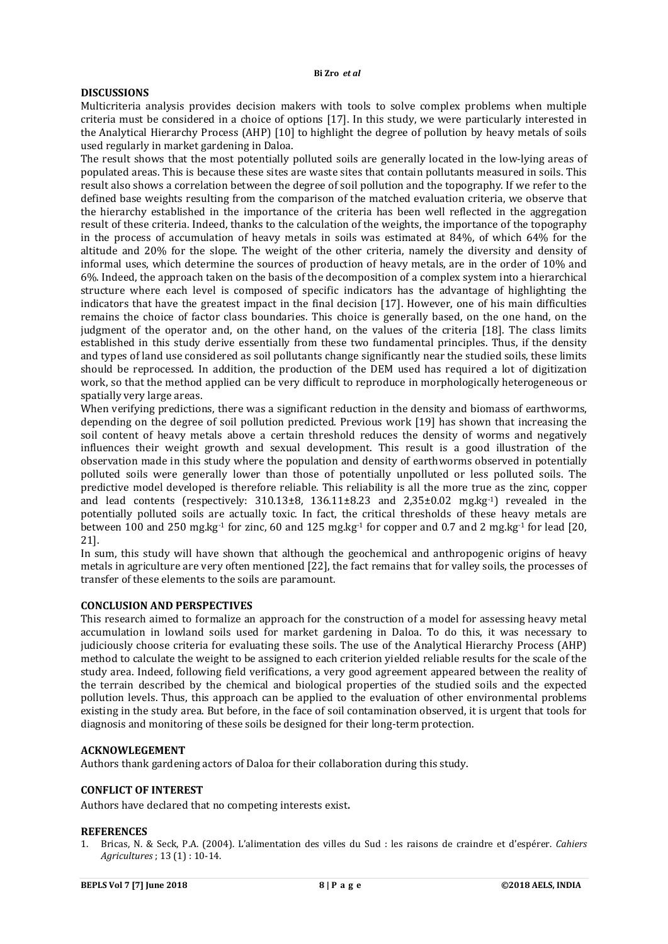# **DISCUSSIONS**

Multicriteria analysis provides decision makers with tools to solve complex problems when multiple criteria must be considered in a choice of options [17]. In this study, we were particularly interested in the Analytical Hierarchy Process (AHP) [10] to highlight the degree of pollution by heavy metals of soils used regularly in market gardening in Daloa.

The result shows that the most potentially polluted soils are generally located in the low-lying areas of populated areas. This is because these sites are waste sites that contain pollutants measured in soils. This result also shows a correlation between the degree of soil pollution and the topography. If we refer to the defined base weights resulting from the comparison of the matched evaluation criteria, we observe that the hierarchy established in the importance of the criteria has been well reflected in the aggregation result of these criteria. Indeed, thanks to the calculation of the weights, the importance of the topography in the process of accumulation of heavy metals in soils was estimated at 84%, of which 64% for the altitude and 20% for the slope. The weight of the other criteria, namely the diversity and density of informal uses, which determine the sources of production of heavy metals, are in the order of 10% and 6%. Indeed, the approach taken on the basis of the decomposition of a complex system into a hierarchical structure where each level is composed of specific indicators has the advantage of highlighting the indicators that have the greatest impact in the final decision [17]. However, one of his main difficulties remains the choice of factor class boundaries. This choice is generally based, on the one hand, on the judgment of the operator and, on the other hand, on the values of the criteria [18]. The class limits established in this study derive essentially from these two fundamental principles. Thus, if the density and types of land use considered as soil pollutants change significantly near the studied soils, these limits should be reprocessed. In addition, the production of the DEM used has required a lot of digitization work, so that the method applied can be very difficult to reproduce in morphologically heterogeneous or spatially very large areas.

When verifying predictions, there was a significant reduction in the density and biomass of earthworms, depending on the degree of soil pollution predicted. Previous work [19] has shown that increasing the soil content of heavy metals above a certain threshold reduces the density of worms and negatively influences their weight growth and sexual development. This result is a good illustration of the observation made in this study where the population and density of earthworms observed in potentially polluted soils were generally lower than those of potentially unpolluted or less polluted soils. The predictive model developed is therefore reliable. This reliability is all the more true as the zinc, copper and lead contents (respectively:  $310.13\pm8$ ,  $136.11\pm8.23$  and  $2,35\pm0.02$  mg.kg<sup>-1</sup>) revealed in the potentially polluted soils are actually toxic. In fact, the critical thresholds of these heavy metals are between 100 and 250 mg.kg<sup>-1</sup> for zinc, 60 and 125 mg.kg<sup>-1</sup> for copper and 0.7 and 2 mg.kg<sup>-1</sup> for lead [20, 21].

In sum, this study will have shown that although the geochemical and anthropogenic origins of heavy metals in agriculture are very often mentioned [22], the fact remains that for valley soils, the processes of transfer of these elements to the soils are paramount.

#### **CONCLUSION AND PERSPECTIVES**

This research aimed to formalize an approach for the construction of a model for assessing heavy metal accumulation in lowland soils used for market gardening in Daloa. To do this, it was necessary to judiciously choose criteria for evaluating these soils. The use of the Analytical Hierarchy Process (AHP) method to calculate the weight to be assigned to each criterion yielded reliable results for the scale of the study area. Indeed, following field verifications, a very good agreement appeared between the reality of the terrain described by the chemical and biological properties of the studied soils and the expected pollution levels. Thus, this approach can be applied to the evaluation of other environmental problems existing in the study area. But before, in the face of soil contamination observed, it is urgent that tools for diagnosis and monitoring of these soils be designed for their long-term protection.

#### **ACKNOWLEGEMENT**

Authors thank gardening actors of Daloa for their collaboration during this study.

#### **CONFLICT OF INTEREST**

Authors have declared that no competing interests exist.

#### **REFERENCES**

1. Bricas, N. & Seck, P.A. (2004). L'alimentation des villes du Sud : les raisons de craindre et d'espérer. *Cahiers Agricultures* ; 13 (1) : 10-14.